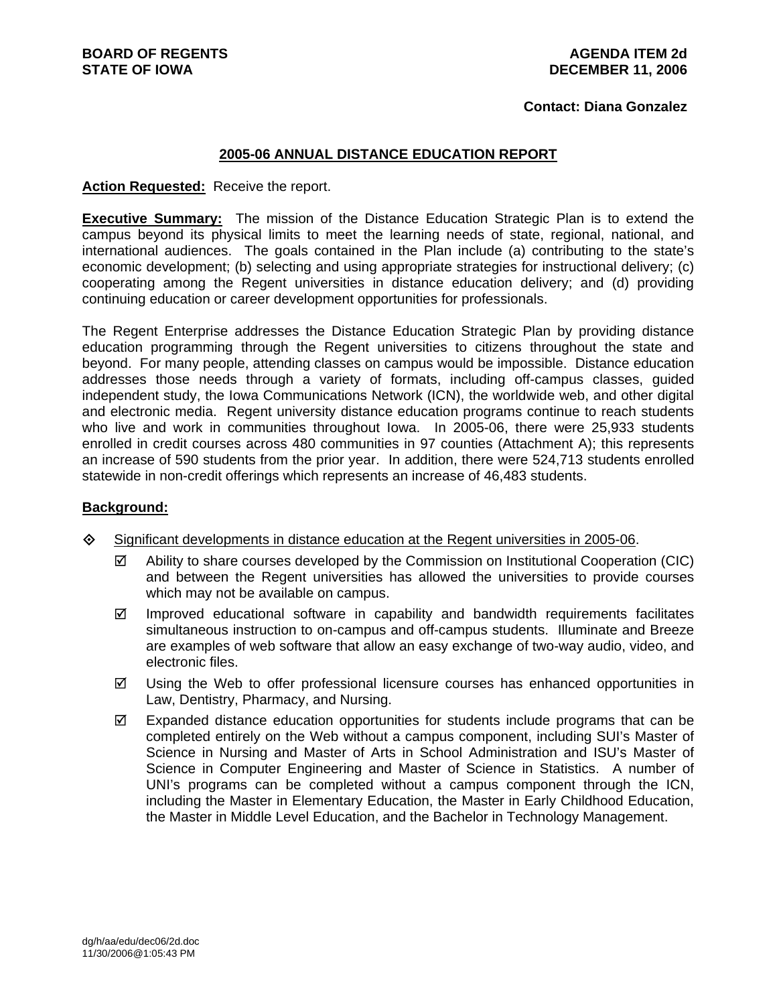#### **Contact: Diana Gonzalez**

### **2005-06 ANNUAL DISTANCE EDUCATION REPORT**

#### **Action Requested:** Receive the report.

**Executive Summary:** The mission of the Distance Education Strategic Plan is to extend the campus beyond its physical limits to meet the learning needs of state, regional, national, and international audiences. The goals contained in the Plan include (a) contributing to the state's economic development; (b) selecting and using appropriate strategies for instructional delivery; (c) cooperating among the Regent universities in distance education delivery; and (d) providing continuing education or career development opportunities for professionals.

The Regent Enterprise addresses the Distance Education Strategic Plan by providing distance education programming through the Regent universities to citizens throughout the state and beyond. For many people, attending classes on campus would be impossible. Distance education addresses those needs through a variety of formats, including off-campus classes, guided independent study, the Iowa Communications Network (ICN), the worldwide web, and other digital and electronic media. Regent university distance education programs continue to reach students who live and work in communities throughout Iowa. In 2005-06, there were 25,933 students enrolled in credit courses across 480 communities in 97 counties (Attachment A); this represents an increase of 590 students from the prior year. In addition, there were 524,713 students enrolled statewide in non-credit offerings which represents an increase of 46,483 students.

## **Background:**

- $\Diamond$  Significant developments in distance education at the Regent universities in 2005-06.
	- $\boxtimes$  Ability to share courses developed by the Commission on Institutional Cooperation (CIC) and between the Regent universities has allowed the universities to provide courses which may not be available on campus.
	- $\boxtimes$  Improved educational software in capability and bandwidth requirements facilitates simultaneous instruction to on-campus and off-campus students. Illuminate and Breeze are examples of web software that allow an easy exchange of two-way audio, video, and electronic files.
	- $\boxtimes$  Using the Web to offer professional licensure courses has enhanced opportunities in Law, Dentistry, Pharmacy, and Nursing.
	- $\boxtimes$  Expanded distance education opportunities for students include programs that can be completed entirely on the Web without a campus component, including SUI's Master of Science in Nursing and Master of Arts in School Administration and ISU's Master of Science in Computer Engineering and Master of Science in Statistics. A number of UNI's programs can be completed without a campus component through the ICN, including the Master in Elementary Education, the Master in Early Childhood Education, the Master in Middle Level Education, and the Bachelor in Technology Management.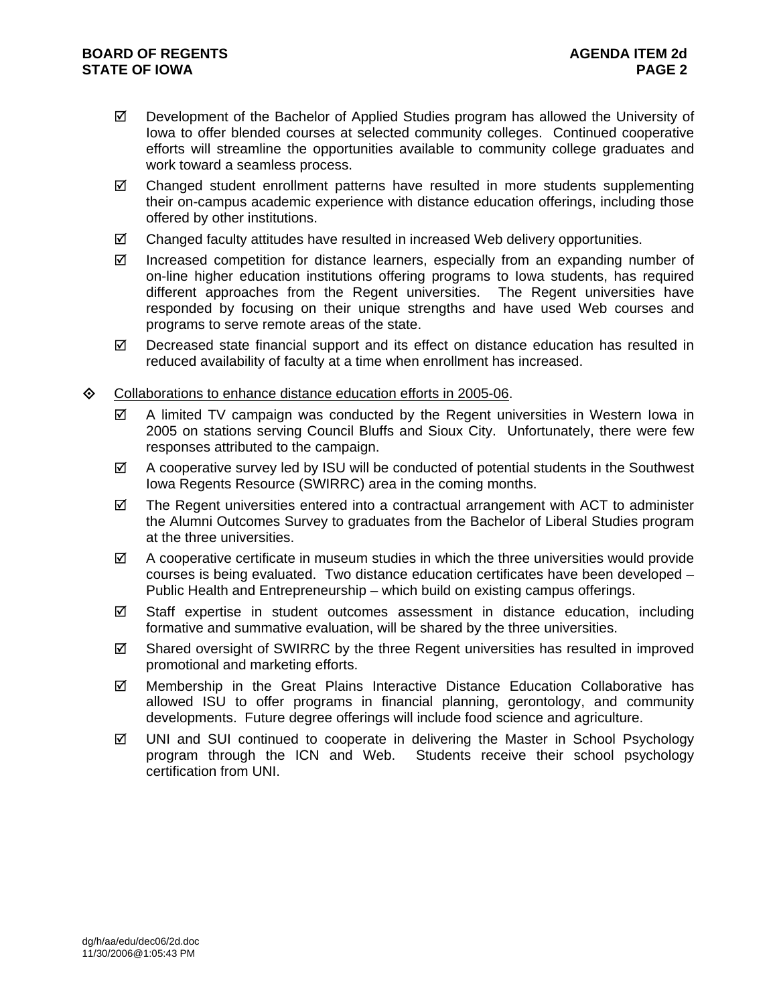- $\boxtimes$  Development of the Bachelor of Applied Studies program has allowed the University of Iowa to offer blended courses at selected community colleges. Continued cooperative efforts will streamline the opportunities available to community college graduates and work toward a seamless process.
- $\boxtimes$  Changed student enrollment patterns have resulted in more students supplementing their on-campus academic experience with distance education offerings, including those offered by other institutions.
- $\boxtimes$  Changed faculty attitudes have resulted in increased Web delivery opportunities.
- $\boxtimes$  Increased competition for distance learners, especially from an expanding number of on-line higher education institutions offering programs to Iowa students, has required different approaches from the Regent universities. The Regent universities have responded by focusing on their unique strengths and have used Web courses and programs to serve remote areas of the state.
- $\boxtimes$  Decreased state financial support and its effect on distance education has resulted in reduced availability of faculty at a time when enrollment has increased.
- $\Diamond$  Collaborations to enhance distance education efforts in 2005-06.
	- $\boxtimes$  A limited TV campaign was conducted by the Regent universities in Western lowa in 2005 on stations serving Council Bluffs and Sioux City. Unfortunately, there were few responses attributed to the campaign.
	- $\boxtimes$  A cooperative survey led by ISU will be conducted of potential students in the Southwest Iowa Regents Resource (SWIRRC) area in the coming months.
	- $\boxtimes$  The Regent universities entered into a contractual arrangement with ACT to administer the Alumni Outcomes Survey to graduates from the Bachelor of Liberal Studies program at the three universities.
	- $\boxtimes$  A cooperative certificate in museum studies in which the three universities would provide courses is being evaluated. Two distance education certificates have been developed – Public Health and Entrepreneurship – which build on existing campus offerings.
	- $\boxtimes$  Staff expertise in student outcomes assessment in distance education, including formative and summative evaluation, will be shared by the three universities.
	- $\boxtimes$  Shared oversight of SWIRRC by the three Regent universities has resulted in improved promotional and marketing efforts.
	- $\boxtimes$  Membership in the Great Plains Interactive Distance Education Collaborative has allowed ISU to offer programs in financial planning, gerontology, and community developments. Future degree offerings will include food science and agriculture.
	- $\boxtimes$  UNI and SUI continued to cooperate in delivering the Master in School Psychology program through the ICN and Web. Students receive their school psychology certification from UNI.